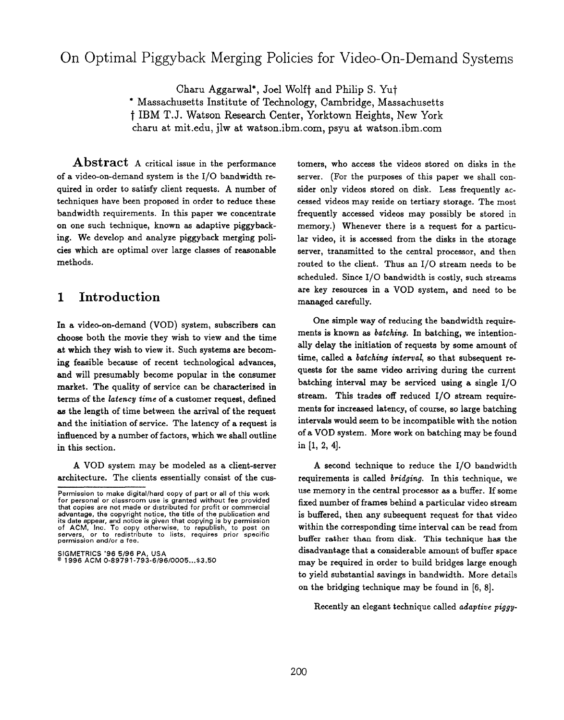# On Optimal Piggyback Merging Policies for Video-On-Demand Systems

Charu Aggarwal\*, Joel Wolft and Philip S. Yut \* Massachusetts Institute of Technology, Cambridge, Massachusetts

<sup>f</sup> IBM T.J. Watson Research Center, Yorktown Heights, New York

charu at mit.edu, jlw at watson.ibm.com, psyu at watson.ibm.com

Abstract <sup>A</sup> critical issue in the performance of a video-on-demand system is the 1/0 bandwidth required in order to satisfy client requests. A number of techniques have been proposed in order to reduce these bandwidth requirements. In this paper we concentrate on one such technique, known as adaptive piggybacking. We develop and analyze piggyback merging policies which are optimal over large classes of reasonable methods.

## 1 Introduction

In a video-on-demand (VOD) system, subscribers can choose both the movie they wish to view and the time at which they wish to view it. Such systems are becoming feasible because of recent technological advances. and will presumably become popular in the consumer market. The quality of service can be characterized in terms of the latency time of a customer request, defined as the length of time between the arrival of the request and the initiation of service. The latency of a request ia influenced by a number of factors, which we shall outline in this section.

A VOD system may be modeled as a client-server architecture. The clients essentially consist of the customers, who access the videos stored on disks in the server. (For the purposes of this paper we shall consider only videos stored on disk. Less frequently accessed videos may reside on tertiary storage. The most frequently accessed videos may possibly be stored in memory.) Whenever there is a request for a particular video, it is accessed from the disks in the storage server, transmitted to the central processor, and then routed to the client. Thus an 1/0 stream needs to be scheduled. Since 1/0 bandwidth is costly, such streams are key resources in a VOD system, and need to be managed carefully.

One simple way of reducing the bandwidth requirements is known as *batching*. In batching, we intentionally delay the initiation of requests by some amount of time, called a *batching interval*, so that subsequent requests for the same video arriving during the current batching interval may be serviced using a single I/O stream. This trades off reduced  $I/O$  stream requirements for increased latency, of course, so large batching intervals would seem to be incompatible with the notion of a VOD system. More work on batching maybe found in [1, 2, 4].

A second technique to reduce the 1/0 bandwidth requirements is called *bridging*. In this technique, we use memory in the central processor as a buffer. If some fixed number of frames behind a particular video stream is buffered, then any subsequent request for that video within the corresponding time interval can be read from buffer rather than from disk. This technique has the disadvantage that a considerable amount of buffer space may be required in order to build bridges large enough to yield substantial savings in bandwidth. More details on the bridging technique may be found in [6, 8].

Recently an elegant technique called adaptive piggy-

Permission to make digital/hard copy of part or all of this work for personal or classroom use is granted without fee provid<br>that copies are not made or distributed for profit or commerc advantage, the copyright notice, the title of the publication and its date appear, and notice is givan that copying is by permission of ACM, Inc. To copy otherwise, to republish, to post on servers, or to redistribute to lists, requires prior specif<br>permission and/or a fee.

SIGMETRICS '96 5/96 PA, USA<br>® 1996 ACM 0-89791-793-6/96/0005…\$3.5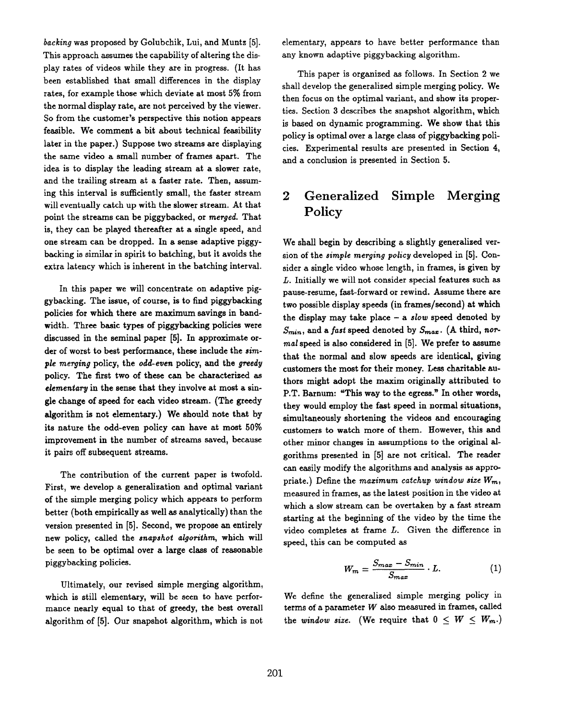$backing$  was proposed by Golubchik, Lui, and Muntz [5]. This approach assumes the capability of altering the display rates of videos while they are in progress. (It has been established that small differences in the display rates, for example those which deviate at most 5% from the normal display rate, are not perceived by the viewer. So from the customer's perspective this notion appears feasible. We comment a bit about technical feasibility later in the paper.) Suppose two streams are displaying the same video a small number of frames apart. The idea is to display the leading stream at a slower rate, and the trailing stream at a faster rate. Then, assuming this interval is sufficiently small, the faster stream will eventually catch up with the slower stream. At that point the streams can be piggybacked, or merged. That is, they can be played thereafter at a single speed, and one stream can be dropped. In a sense adaptive piggybacking is similar in spirit to batching, but it avoids the extra latency which is inherent in the batching interval.

In this paper we will concentrate on adaptive piggybacking. The issue, of course, is to find piggybacking policies for which there are maximum savings in bandwidth. Three basic types of piggybacking policies were discussed in the seminal paper [5]. In approximate order of worst to best performance, these include the simple merging policy, the odd-even policy, and the greedy policy. The first two of these can be characterized as elementary in the sense that they involve at most a single change of speed for each video stream. (The greedy algorithm is not elementary.) We should note that by its nature the odd-even policy can have at most 50% improvement in the number of streams saved, because it pairs off subsequent streams.

The contribution of the current paper is twofold. First, we develop a generalization and optimal variant of the simple merging policy which appears to perform better (both empirically as well as analytically) than the version presented in [5]. Second, we propose an entirely new policy, called the snapshot algorithm, which will be seen to be optimal over a large class of reasonable piggybacking policies.

Ultimately, our revised simple merging algorithm, which is still elementary, will be seen to have performance nearly equal to that of greedy, the best overall algorithm of [5]. Our snapshot algorithm, which is not elementary, appears to have better performance than any known adaptive piggybacking algorithm.

This paper is organized as follows. In Section 2 we shall develop the generalized simple merging policy. We then focus on the optimal variant, and show its properties. Section 3 describes the snapshot algorithm, which is based on dynamic programming. We show that this policy is optimal over a large class of piggybacking policies. Experimental results are presented in Section 4, and a conclusion is presented in Section 5.

## 2 Generalized Simple Merging **Policy**

We shall begin by describing a slightly generalized version of the simple merging policy developed in [5]. Consider a single video whose length, in frames, is given by L. Initially we will not consider special features such as pause-resume, fast-forward or rewind. Assume there are two possible display speeds (in frames/second) at which the display may take place  $-$  a slow speed denoted by  $S_{min}$ , and a fast speed denoted by  $S_{max}$ . (A third, normal speed is also considered in [5]. We prefer to assume that the normal and slow speeds are identical, giving customers the most for their money. Less charitable authors might adopt the maxim originally attributed to P.T. Barnum: "This way to the egress." In other words, they would employ the fast speed in normal situations, simultaneously shortening the videos and encouraging customers to watch more of them. However, this and other minor changes in assumptions to the original algorithms presented in [5] are not critical. The reader can easily modify the algorithms and analysis as appropriate.) Define the maximum catchup window size  $W_m$ , measured in frames, as the latest position in the video at which a slow stream can be overtaken by a fast stream starting at the beginning of the video by the time the video completes at frame L. Given the difference in speed, this can be computed aa

$$
W_m = \frac{S_{max} - S_{min}}{S_{max}} \cdot L. \tag{1}
$$

We define the generalized simple merging policy in terms of a parameter W also measured in frames, called the window size. (We require that  $0 \leq W \leq W_m$ .)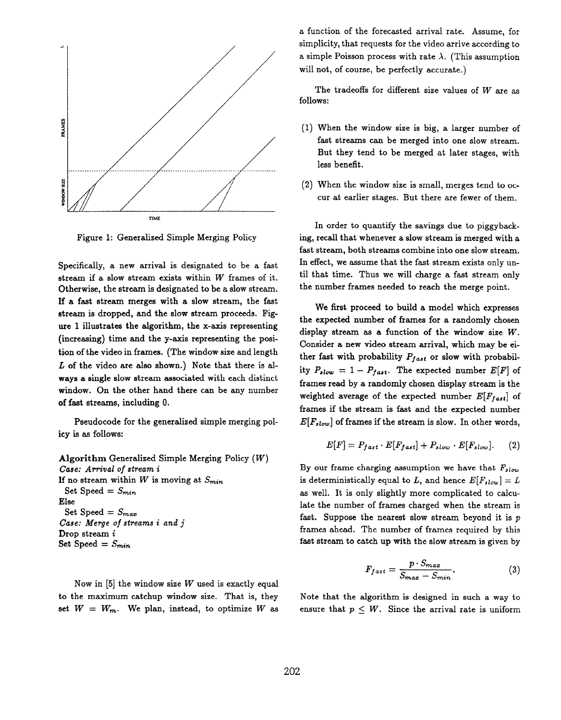

Figure 1: Generalized Simple Merging Policy

Specifically, a new arrival is designated to be a fast stream if a slow stream exists within W frames of it. Otherwise, the stream is designated to be a slow stream. If a fast stream merges with a slow stream, the fast stream ia dropped, and the slow stream proceeds. Figure 1 illustrates the algorithm, the x-axis representing (increasing) time and the y-axis representing the position of the video in frames. (The window size and length  $L$  of the video are also shown.) Note that there is always a single slow stream associated with each distinct window. On the other hand there can be any number of fast streams, including O.

Pseudocode for the generalized simple merging policy is as follows:

Algorithm Generalized Simple Merging Policy  $(W)$ Case: Arrival of stream i If no stream within W is moving at  $S_{min}$ Set Speed =  $S_{min}$ Else Set Speed =  $S_{max}$ Case: Merge of streams i and j Drop stream i Set Speed  $= S_{min}$ 

Now in  $[5]$  the window size W used is exactly equal to the maximum catchup window size. That is, they set  $W = W_m$ . We plan, instead, to optimize W as a function of the forecasted arrival rate. Assume, for simplicity, that requests for the video arrive according to a simple Poisson process with rate  $\lambda$ . (This assumption will not, of course, be perfectly accurate.)

The tradeoffs for different size values of  $W$  are as follows:

- (1) When the window size is big, a larger number of fast streams can be merged into one slow stream. But they tend to be merged at later stages, with less benefit.
- (2) When the window size is small, merges tend to occur at earlier stages. But there are fewer of them.

In order to quantify the savings due to piggybacking, recall that whenever a slow stream is merged with a fast stream, both streams combine into one slow stream. In effect, we assume that the fast stream exists only until that time. Thus we will charge a fast stream only the number frames needed to reach the merge point.

We first proceed to build a model which expresses the expected number of frames for a randomly chosen display stream as a function of the window size W. Consider a new video stream arrival, which may be either fast with probability  $P_{fast}$  or slow with probability  $P_{slow} = 1 - P_{fast}$ . The expected number  $E[F]$  of frames read by a randomly chosen display stream is the weighted average of the expected number  $E[F<sub>fast</sub>]$  of frames if the stream is fast and the expected number  $E[F_{slow}]$  of frames if the stream is slow. In other words,

$$
E[F] = P_{fast} \cdot E[F_{fast}] + P_{slow} \cdot E[F_{slow}]. \tag{2}
$$

By our frame charging assumption we have that  $F_{slow}$ is deterministically equal to L, and hence  $E[F_{slow}] = L$ aa well. It is only slightly more complicated to calculate the number of frames charged when the stream is fast. Suppose the nearest slow stream beyond it is  $p$ frames ahead, The number of frames required by this fast stream to catch up with the slow stream is given by

$$
F_{fast} = \frac{p \cdot S_{max}}{S_{max} - S_{min}}.\tag{3}
$$

Note that the algorithm is designed in such a way to ensure that  $p \leq W$ . Since the arrival rate is uniform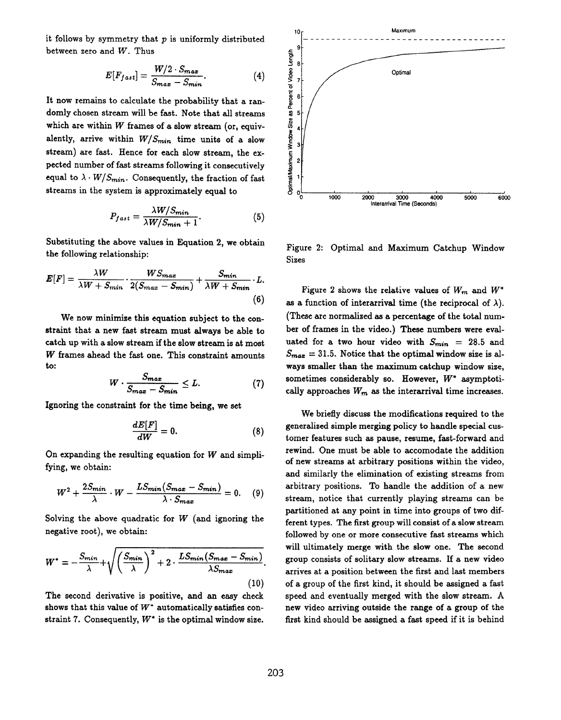it follows by symmetry that  $p$  is uniformly distributed between zero and W. Thus

$$
E[F_{fast}] = \frac{W/2 \cdot S_{max}}{S_{max} - S_{min}}.\tag{4}
$$

It now remains to calculate the probability that a randomly chosen stream will be fast. Note that all streams which are within  $W$  frames of a slow stream (or, equivalently, arrive within  $W/S_{min}$  time units of a slow stream) are fast. Hence for each slow stream, the expected number of fast streams following it consecutively equal to  $\lambda \cdot W/S_{min}$ . Consequently, the fraction of fast streams in the system is approximately equal to

$$
P_{fast} = \frac{\lambda W/S_{min}}{\lambda W/S_{min} + 1}.
$$
 (5)

Substituting the above values in Equation 2, we obtain the following relationship:

$$
E[F] = \frac{\lambda W}{\lambda W + S_{min}} \cdot \frac{WS_{max}}{2(S_{max} - S_{min})} + \frac{S_{min}}{\lambda W + S_{min}} \cdot L.
$$
\n(6)

We now minimize this equation subject to the constraint that a new fast stream must always be able to catch up with a slow stream if the slow stream is at most W frames ahead the fast one. This constraint amounts to:

$$
W \cdot \frac{S_{max}}{S_{max} - S_{min}} \le L. \tag{7}
$$

Ignoring the constraint for the time being, we set

$$
\frac{dE[F]}{dW} = 0.\t\t(8)
$$

On expanding the resulting equation for  $W$  and simplifying, we obtain:

$$
W^{2} + \frac{2S_{min}}{\lambda} \cdot W - \frac{LS_{min}(S_{max} - S_{min})}{\lambda \cdot S_{max}} = 0.
$$
 (9)

Solving the above quadratic for  $W$  (and ignoring the negative root), we obtain:

$$
W^* = -\frac{S_{min}}{\lambda} + \sqrt{\left(\frac{S_{min}}{\lambda}\right)^2 + 2 \cdot \frac{LS_{min}(S_{max} - S_{min})}{\lambda S_{max}}}.
$$
\n(10)

The second derivative is positive, and an easy check shows that this value of  $W^*$  automatically satisfies constraint 7. Consequently,  $W^*$  is the optimal window size.



Figure 2: Optimal and Maximum Catchup Window Sizes

Figure 2 shows the relative values of  $W_m$  and  $W^*$ as a function of interarrival time (the reciprocal of  $\lambda$ ). (These are normalized as a percentage of the total number of frames in the video.) These numbers were evaluated for a two hour video with  $S_{min}$  = 28.5 and  $S_{max}=31.5$ . Notice that the optimal window size is always smaller than the maximum catchup window size, sometimes considerably so. However,  $W^*$  asymptotically approaches  $W_m$  as the interarrival time increases.

We briefly discuss the modifications required to the generalized simple merging policy to handle special customer features such as pause, resume, fast-forward and rewind. One must be able to accomodate the addition of new streams at arbitrary positions within the video, and similarly the elimination of existing streams from arbitrary positions. To handle the addition of a new stream, notice that currently playing streams can be partitioned at any point in time into groups of two different types. The first group will consist of a slow stream followed by one or more consecutive fast streams which will ultimately merge with the slow one. The second group consists of solitary slow streams. If a new video arrives at a position between the first and last members of a group of the first kind, it should be assigned a fast speed and eventually merged with the slow stream. A new video arriving outside the range of a group of the first kind should be assigned a fast speed if it is behind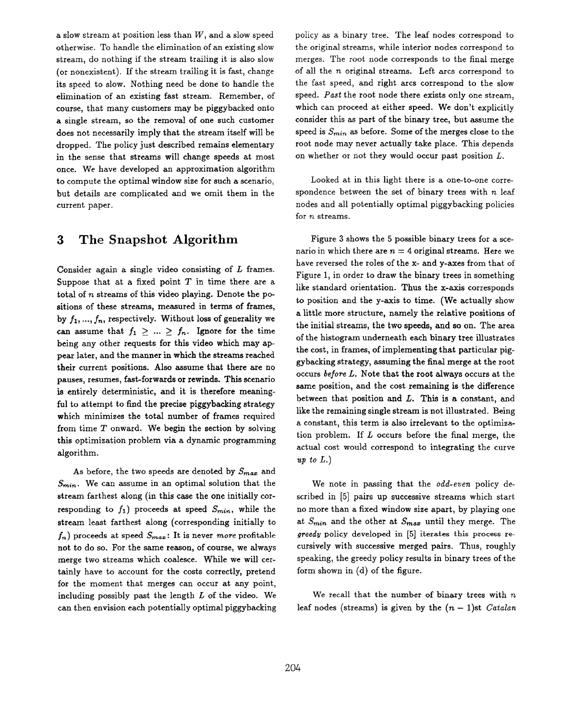a slow stream at position less than W, and a slow speed otherwise. To handle the elimination of an existing slow stream, do nothing if the stream trailing it is also slow (or nonexistent). If the stream trailing it is fast, change its speed to slow. Nothing need be done to handle the elimination of an existing fast stream. Remember, of course, that many customers may be piggybacked onto a single stream, so the removal of one such customer does not necessarily imply that the stream itself will be dropped. The policy just described remains elementary in the sense that streams will change speeds at most once. We have developed an approximation algorithm to compute the optimal window size for such a scenario, but details are complicated and we omit them in the current paper.

## 3 The Snapshot Algorithm

Consider again a single video consisting of L frames. Suppose that at a fixed point  $T$  in time there are a total of n streams of this video playing. Denote the positions of these streams, measured in terms of frames, by  $f_1, ..., f_n$ , respectively. Without loss of generality we can assume that  $f_1 \geq ... \geq f_n$ . Ignore for the time being any other requests for this video which may appear later, and the manner in which the streams reached their current positions. Also assume that there are no pauses, resumes, fast-forwards or rewinds. This scenario is entirely deterministic, and it is therefore meaningful to attempt to find the precise piggybacking strategy which minimizes the total number of frames required from time  $T$  onward. We begin the section by solving this optimization problem via a dynamic programming algorithm.

As before, the two speeds are denoted by  $S_{max}$  and  $S_{min}$ . We can assume in an optimal solution that the stream farthest along (in this case the one initially corresponding to  $f_1$ ) proceeds at speed  $S_{min}$ , while the stream least farthest along (corresponding initially to  $f_n$ ) proceeds at speed  $S_{max}$ : It is never more profitable not to do so. For the same reason, of course, we always merge two streams which coalesce. While we will certainly have to account for the costs correctly, pretend for the moment that merges can occur at any point, including possibly past the length  $L$  of the video. We can then envision each potentially optimal piggybacking policy as a binary tree. The leaf nodes correspond to the original streams, while interior nodes correspond to merges. The root node corresponds to the final merge of all the n original streams. Left arcs correspond to the fast speed, and right arcs correspond to the slow speed. Past the root node there exists only one stream, which can proceed at either speed. We don't explicitly consider this as part of the binary tree, but assume the speed is  $S_{min}$  as before. Some of the merges close to the root node may never actually take place. This depends on whether or not they would occur past position L.

Looked at in this light there is a one-to-one correspondence between the set of binary trees with  $n$  leaf nodes and all potentially optimal piggybacking policies for n streams.

Figure 3 shows the 5 possible binary trees for a scenario in which there are  $n = 4$  original streams. Here we have reversed the roles of the x- and y-axes from that of Figure 1, in order to draw the binary trees in something like standard orientation. Thus the x-axis corresponds to position and the y-axis to time. (We actually show a little more structure, namely the relative positions of the initial streams, the two speeds, and so on. The area of the histogram underneath each binary tree illustrates the cost, in frames, of implementing that particular piggybacking strategy, assuming the final merge at the root occurs before L. Note that the root always occurs at the same position, and the cost remaining is the difference between that position and  $L$ . This is a constant, and like the remaining single stream is not illustrated. Being a constant, this term is also irrelevant to the optimization problem. If  $L$  occurs before the final merge, the actual cost would correspond to integrating the curve up to L.)

We note in passing that the odd-even policy described in [5] pairs up successive streams which start no more than a fixed window size apart, by playing one at  $S_{min}$  and the other at  $S_{max}$  until they merge. The greedy policy developed in  $[5]$  iterates this process recursively with successive merged pairs. Thus, roughly speaking, the greedy policy results in binary trees of the form shown in (d) of the figure.

We recall that the number of binary trees with  $n$ leaf nodes (streams) is given by the  $(n - 1)$ st Catalan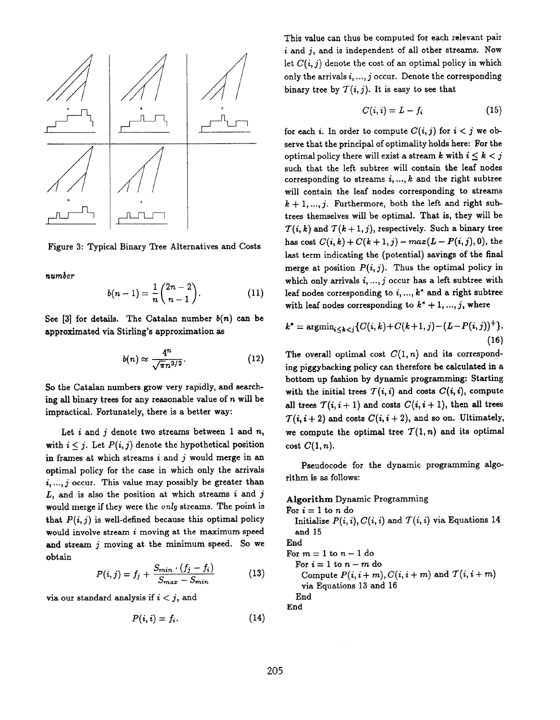

Figure 3: Typical Binary Tree Alternatives and Costs

number

$$
b(n-1) = \frac{1}{n} \binom{2n-2}{n-1}.
$$
 (11)

See [3] for details. The Catalan number  $b(n)$  can be approximated via Stirling's approximation as

$$
b(n) \approx \frac{4^n}{\sqrt{\pi n^{3/2}}}.\tag{12}
$$

So the Catalan numbers grow very rapidly, and searching all binary trees for any reasonable value of  $n$  will be impractical. Fortunately, there is a better way:

Let  $i$  and  $j$  denote two streams between 1 and  $n$ , with  $i \leq j$ . Let  $P(i, j)$  denote the hypothetical position in frames at which streams  $i$  and  $j$  would merge in an optimal policy for the case in which only the arrivals  $i, ..., j$  occur. This value may possibly be greater than  $L$ , and is also the position at which streams  $i$  and  $j$ would merge if they were the *only* streams. The point is that  $P(i, j)$  is well-defined because this optimal policy would involve stream  $i$  moving at the maximum speed and stream  $j$  moving at the minimum speed. So we obtain

$$
P(i,j) = f_j + \frac{S_{min} \cdot (f_j - f_i)}{S_{max} - S_{min}} \tag{13}
$$

via our standard analysis if  $i < j$ , and

$$
P(i,i)=f_i.\t\t(14)
$$

This value can thus be computed for each relevant pair  $i$  and  $j$ , and is independent of all other streams. Now let  $C(i, j)$  denote the cost of an optimal policy in which only the arrivals  $i, ..., j$  occur. Denote the corresponding binary tree by  $T(i, j)$ . It is easy to see that

$$
C(i,i) = L - f_i \tag{15}
$$

for each i. In order to compute  $C(i, j)$  for  $i < j$  we observe that the principal of optimality holds here: For the optimal policy there will exist a stream k with  $i \leq k \leq j$ such that the left subtree will contain the leaf nodes corresponding to streams  $i, ..., k$  and the right subtree will contain the leaf nodes corresponding to streams  $k+1, ..., j$ . Furthermore, both the left and right subtrees themselves will be optimal. That is, they will be  $T(i, k)$  and  $T(k + 1, j)$ , respectively. Such a binary tree has cost  $C(i, k) + C(k + 1, j) - max(L - P(i, j), 0)$ , the last term indicating the (potential) savings of the final merge at position  $P(i, j)$ . Thus the optimal policy in which only arrivals  $i, ..., j$  occur has a left subtree with leaf nodes corresponding to  $i, ..., k^*$  and a right subtree with leaf nodes corresponding to  $k^* + 1, ..., j$ , where

$$
k^* = \operatorname{argmin}_{i \le k < j} \{ C(i, k) + C(k+1, j) - (L - P(i, j))^+ \}.
$$
\n(16)

The overall optimal cost  $C(1, n)$  and its corresponding piggybacking policy can therefore be calculated in a bottom up fashion by dynamic programming: Starting with the initial trees  $T(i, i)$  and costs  $C(i, i)$ , compute all trees  $T(i, i + 1)$  and costs  $C(i, i + 1)$ , then all trees  $T(i, i + 2)$  and costs  $C(i, i + 2)$ , and so on. Ultimately, we compute the optimal tree  $T(1, n)$  and its optimal cost  $C(1, n)$ .

Pseudocode for the dynamic programming algorithm is as follows:

# Algorithm Dynamic Programming

For  $i=1$  to n do Initialize  $P(i, i)$ ,  $C(i, i)$  and  $T(i, i)$  via Equations 14 and 15 End For  $m=1$  to  $n-1$  do For  $i=1$  to  $n-m$  do Compute  $P(i, i + m)$ ,  $C(i, i + m)$  and  $T(i, i + m)$ via Equations 13 and 16 End

End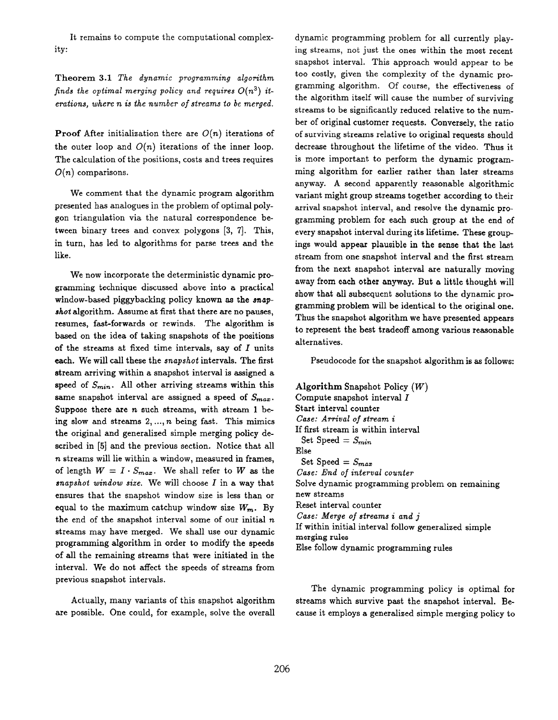It remains to compute the computational complexity:

Theorem 3.1 The dynamic programming algorithm finds the optimal merging policy and requires  $O(n^3)$  iterations, where  $n$  is the number of streams to be merged.

**Proof** After initialization there are  $O(n)$  iterations of the outer loop and  $O(n)$  iterations of the inner loop. The calculation of the positions, costs and trees requires  $O(n)$  comparisons.

We comment that the dynamic program algorithm presented has analogues in the problem of optimal polygon triangulation via the natural correspondence between binary trees and convex polygons [3, 7]. This, in turn, has led to algorithms for parse trees and the like.

We now incorporate the deterministic dynamic programming technique discussed above into a practical window-based piggybacking policy known as the snapshot algorithm. Assume at first that there are no pauses, resumes, fast-forwards or rewinds. The algorithm is based on the idea of taking snapshots of the positions of the streams at fixed time intervals, say of  $I$  units each. We will call these the snapshot intervals. The first stream arriving within a snapshot interval is assigned a speed of  $S_{min}$ . All other arriving streams within this same snapshot interval are assigned a speed of  $S_{max}$ . Suppose there are  $n$  such streams, with stream 1 being slow and streams 2, .... n being fast. This mimics the original and generalized simple merging policy described in [5] and the previous section. Notice that all n streams will lie within a window, measured in frames, of length  $W = I \cdot S_{max}$ . We shall refer to W as the snapshot window size. We will choose  $I$  in a way that ensures that the snapshot window size is less than or equal to the maximum catchup window size  $W_m$ . By the end of the snapshot interval some of our initial  $n$ streams may have merged. We shall use our dynamic programming algorithm in order to modify the speeds of all the remaining streams that were initiated in the interval. We do not affect the speeds of streams from previous snapshot intervals.

Actually, many variants of this snapshot algorithm are possible. One could, for example, solve the overall

dynamic programming problem for all currently playing streams, not just the ones within the most recent snapshot interval. This approach would appear to be too costly, given the complexity of the dynamic programming algorithm. Of course, the effectiveness of the algorithm itself will cause the number of surviving streams to be significantly reduced relative to the number of original customer requests. Conversely, the ratio of surviving streams relative to original requests should decrease throughout the lifetime of the video. Thus it is more important to perform the dynamic programming algorithm for earlier rather than later streams anyway. A second apparently reasonable algorithmic variant might group streams together according to their arrival snapshot interval, and resolve the dynamic programming problem for each such group at the end of every snapshot interval during its lifetime. These groupings would appear plausible in the sense that the last stream from one snapshot interval and the first stream from the next snapshot interval are naturally moving away from each other anyway. But a little thought will show that all subsequent solutions to the dynamic programming problem will be identical to the original one. Thus the snapshot algorithm we have presented appears to represent the best tradeoff among various reasonable alternatives.

Pseudocode for the snapshot algorithm is as follows:

Algorithm Snapshot Policy  $(W)$ Compute snapshot interval I Start interval counter Case: Arrival of stream i If first stream is within interval Set Speed =  $S_{min}$ Else Set Speed =  $S_{max}$ Case: End of interval counter Solve dynamic programming problem on remaining new streams Reset interval counter Case: Merge of streams i and j If within initial interval follow generalized simple merging rules Else follow dynamic programming rules

The dynamic programming policy is optimal for streams which survive past the snapshot interval. Because it employs a generalized simple merging policy to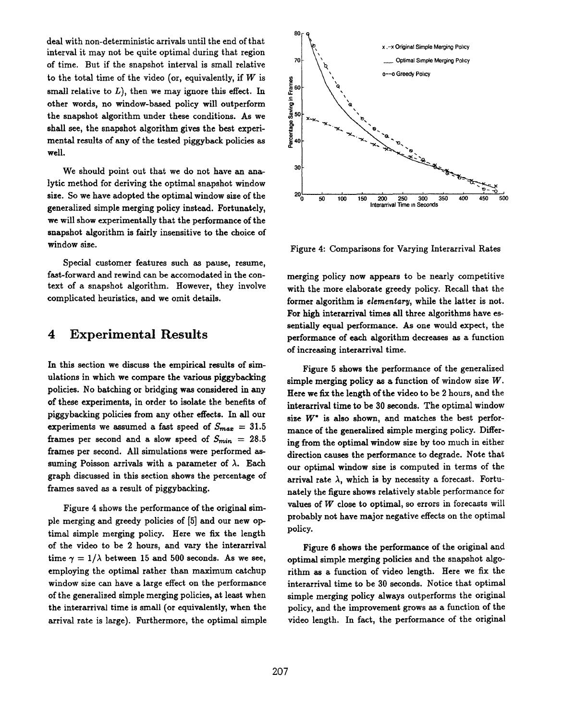deal with non-deterministic arrivals until the end of that interval it may not be quite optimal during that region of time. But if the snapshot interval is small relative to the total time of the video (or, equivalently, if  $W$  is small relative to  $L$ ), then we may ignore this effect. In other words, no window-based policy will outperform the snapshot algorithm under these conditions. As we shall see, the snapshot algorithm gives the best experimental results of any of the tested piggyback policies as well.

We should point out that we do not have an analytic method for deriving the optimal snapshot window size. So we have adopted the optimal window size of the generalized simple merging policy instead. Fortunately, we will show experimentally that the performance of the snapshot algorithm is fairly insensitive to the choice of window size.

Special customer features such as pause, resume, fast-forward and rewind can be accomodated in the context of a snapshot algorithm. However, they involve complicated heuristics, and we omit details.

### 4 Experimental Results

In this section we discuss the empirical results of simulations in which we compare the various piggybacking policies. No batching or bridging was considered in any of these experiments, in order to isolate the benefits of piggybacking policies from any other effects. In all our experiments we assumed a fast speed of  $S_{max} = 31.5$ frames per second and a slow speed of  $S_{min} = 28.5$ frames per second. All simulations were performed assuming Poisson arrivals with a parameter of  $\lambda$ . Each graph discussed in this section shows the percentage of frames saved as a result of piggybacking.

Figure 4 shows the performance of the original simple merging and greedy policies of [5] and our new optimal simple merging policy. Here we fix the length of the video to be 2 hours, and vary the interarrival time  $\gamma = 1/\lambda$  between 15 and 500 seconds. As we see, employing the optimal rather than maximum catchup window size can have a large effect on the performance of the generalized simple merging policies, at least when the interarrival time is small (or equivalently, when the arrival rate is large). Furthermore, the optimal simple



Figure 4: Comparisons for Varying Interarrival Rates

merging policy now appears to be nearly competitive with the more elaborate greedy policy. Recall that the former algorithm is elementary, while the latter is not. For high interarrival times all three algorithms have essentially equal performance. As one would expect, the performance of each algorithm decreases as a function of increasing interarrival time.

Figure 5 shows the performance of the generalized simple merging policy as a function of window size  $W$ . Here we fix the length of the video to be 2 hours, and the interarrival time to be 30 seconds. The optimal window size  $W^*$  is also shown, and matches the best performance of the generalized simple merging policy. Differing from the optimal window size by too much in either direction causes the performance to degrade. Note that our optimal window size is computed in terms of the arrival rate  $\lambda$ , which is by necessity a forecast. Fortunately the figure shows relatively stable performance for values of W close to optimal, so errors in forecasts will probably not have major negative effects on the optimal policy.

Figure 6 shows the performance of the original and optimal simple merging policies and the snapshot algorithm as a function of video length. Here we fix the interarrival time to be 30 seconds. Notice that optimal simple merging policy always outperforms the original policy, and the improvement grows ss a function of the video length. In fact, the performance of the original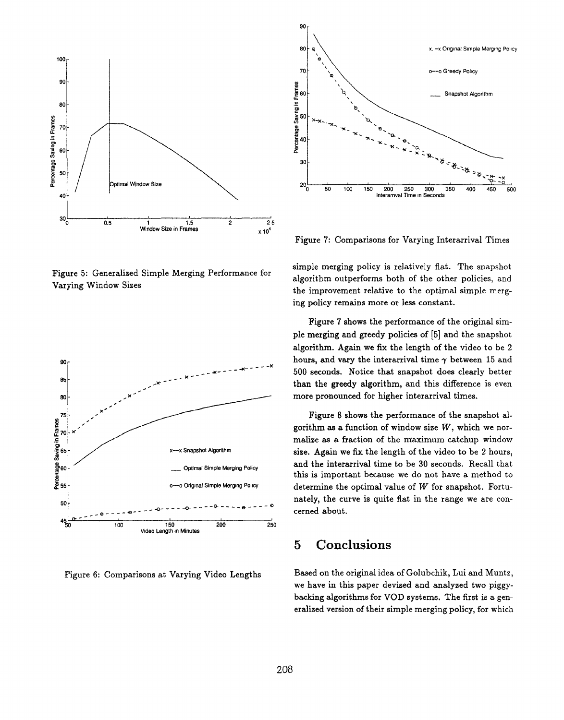

Figure 5: Generalized Simple Merging Performance for Varying Window Sizes



Figure 6: Comparisons at Varying Video Lengths



Figure 7: Comparisons for Varying Interarrival Times

simple merging policy is relatively flat. The snapshot algorithm outperforms both of the other policies, and the improvement relative to the optimal simple merging policy remains more or less constant.

Figure 7 shows the performance of the original simple merging and greedy policies of [5] and the snapshot algorithm. Again we fix the length of the video to be 2 hours, and vary the interarrival time  $\gamma$  between 15 and 500 seconds. Notice that snapshot does clearly better than the greedy algorithm, and this difference is even more pronounced for higher interarrival times.

Figure 8 shows the performance of the snapshot algorithm as a function of window size  $W$ , which we normalize as a fraction of the maximum catchup window size. Again we fix the length of the video to be 2 hours, and the interarrival time to be 30 seconds. Recall that this is important because we do not have a method to determine the optimal value of  $W$  for snapshot. Fortunately, the curve is quite flat in the range we are concerned about.

## 5 Conclusions

Based on the original idea of Golubchik, Lui and Muntz, we have in this paper devised and analyzed two piggybacking algorithms for VOD systems. The first is a generalized version of their simple merging policy, for which